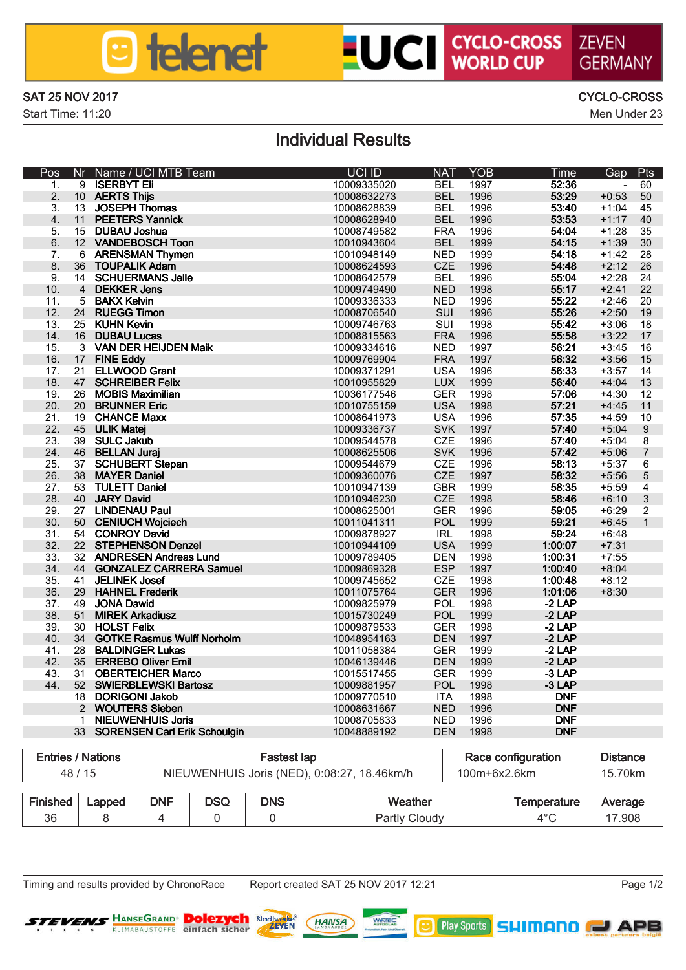

# **LUCI CYCLO-CROSS ZEVEN**

#### SAT 25 NOV 2017 CYCLO-CROSS

Start Time: 11:20 Men Under 23

GERMANN

### Individual Results

| Pos                     | Nr.                     | Name / LICI MTB Team                                    | <b>LICI ID</b>             | <b>NAT</b>  | YOR          | Time          | Gap                | Pts                      |
|-------------------------|-------------------------|---------------------------------------------------------|----------------------------|-------------|--------------|---------------|--------------------|--------------------------|
| л.                      | ۰                       | <b>ISERRYT FL</b>                                       | 10009335020                | BEL         | 1997         | 5236          | ٠                  | RO.                      |
| $\overline{a}$          | 10                      | <b>AFRITS This</b>                                      | 10008832273                | <b>RFI</b>  | 1996         | 53:29         | $+0.53$            | 50                       |
| $\overline{\mathbf{a}}$ | 13                      | <b>JOSEPH Thomas</b>                                    | 10008628839                | <b>RFI</b>  | 1996         | 53:40         | $+1.04$            | 45                       |
| $\Delta$                | 11                      | <b>PEETERS Yannick</b>                                  | 10008628940                | <b>RFI</b>  | 1996         | 63.63         | $+1:17$            | 40                       |
| к                       | 15                      | DI RAI Linchua                                          | 10008749582                | <b>FRA</b>  | 1996         | 54:04         | $+1.28$            | 35                       |
| A.                      | 12 <sup>12</sup>        | VANDEROSCH Toon                                         | 10010943604                | <b>RFI</b>  | 1999         | 54:15         | $+1:39$            | 3ń                       |
| $\overline{ }$          | A                       | <b>ARFWALLAM Thymen</b>                                 | 10010948149                | <b>NFD</b>  | 1999         | 54-18         | $+1:42$            | 28                       |
| $\mathbf{R}$            | 26                      | <b>TOUPALIK Adam</b>                                    | 10008624593                | CZE         | 1996         | 54:48         | $+2.12$            | 26                       |
| $\overline{a}$          | 14                      | SCHUFRMANS, Jolie                                       | 10008642579                | <b>RFI</b>  | 1996         | 55:04         | $+2.28$            | 24                       |
| 10 <sub>1</sub>         | $\Delta$                | DEKKER Jans                                             | 10009749490                | <b>NFD</b>  | 1998         | 55:17         | $+7.41$            | $\mathfrak{D}$           |
| 11                      | s.                      | <b>RAKY Kolun</b>                                       | 10009336333                | <b>NFD</b>  | 1996         | 55:22         | $+2.46$            | 20                       |
| 12 <sub>2</sub>         | 24                      | <b>BUFGG Times</b>                                      | 10008706540                | SIII        | 1996         | <b>FR-26</b>  | $+2.50$            | 19                       |
| 13                      | 25                      | <b>KI IHN Kevin</b>                                     | 10009746763                | SHI         | 1998         | 55:42         | $+3:06$            | 18                       |
| 14                      | 16                      | <b>DURALLUMOS</b>                                       | 10008815563                | <b>FRA</b>  | 1996         | 55:58         | $+3:22$            | 17                       |
| 15                      | $\overline{\mathbf{a}}$ | VAN DER HELIDEN MAR                                     | 10009334616                | <b>NFD</b>  | 1997         | 56:21         | $+3:45$            | 16                       |
| 16                      | 17                      | <b>FINE FAW</b>                                         | 10009769904                | <b>FRA</b>  | 1997         | 56:32         | $+3.55$            | 15                       |
| 17                      | 21                      | FLI WOOD Good                                           | 10009371291                | <b>USA</b>  | 1996         | 56:33         | $+3:57$            | 14                       |
| 18                      | 47                      | <b>SCHREIBER Felix</b>                                  | 10010955829                | <b>TIX</b>  | 1999         | 59:40         | $+4.04$            | 13                       |
| 19                      | 26                      | <b>MORIS Movimilian</b>                                 | 10036177546                | GER         | 1998         | 57:06         | $+4:30$            | 12                       |
| 20 <sub>1</sub>         | 20                      | <b>BRUNNER Eric</b>                                     | 10010755159                | 1184        | 1998         | 57-21         | $+4.45$            | 11                       |
| 21                      | 19                      | <b>CHANCE Many</b>                                      | 10008641973                | 1184        | 1996         | 57:35         | $+4.59$            | 10                       |
| $22^{1}$                | 45                      | <b>ULIK Motel</b>                                       | 10009336737                | <b>SVK</b>  | 1997         | 57:40         | $+5.04$            | a                        |
| 23                      | 39                      | SULC: Joinin                                            | 10009544578                | CZE         | 1996         | 57:40         | $+5.04$            | ×                        |
| 24                      | 46                      | <b>RFI LAN Jural</b>                                    | 10008625506                | <b>SVK</b>  | 1996         | 57:42         | $+5:05$            | $\overline{\phantom{a}}$ |
| 25                      | 37                      | <b>SCHUBERT Stepan</b>                                  | 10009544679                | CZE         | 1996         | 6813          | $+5:37$            | Ä                        |
| 26                      | 3R                      | <b>MAYER Daniel</b>                                     | 10009360076                | CZE         | 1997         | 58:32         | $+5.55$            | ĸ                        |
| 27                      | 53                      | <b>THETT Daniel</b>                                     | 10010947139                | GRR         | 1999         | 58:35         | $+5:50$            | A                        |
| <b>28</b>               | 40                      | JARY David                                              | 10010946230                | CZE         | 1998         | <b>FR:46</b>  | $+6:10$            | $\overline{\mathbf{z}}$  |
| $29 -$                  | 27                      | <b>LIMOFMALLPaul</b>                                    | 10008625001                | GFR         | 1996         | 5905          | $+6.29$            | $\overline{2}$           |
| 30 <sub>1</sub><br>31   | 50<br>54                | <b>CENIUCH Weinlach</b><br><b>CONROY David</b>          | 10011041311<br>10009878927 | POL.<br>IRL | 1999<br>1998 | 5921<br>59.24 | $+6/45$<br>$+6/48$ | 1                        |
| 32 <sub>2</sub>         | 22                      | <b>STEPHENSON Deggel</b>                                | 10010944109                | 1184        | 1999         | 110007        | $+7.31$            |                          |
| 33 <sup>°</sup>         | 32                      | ANDRESEN Andreas Lund                                   | 10009789405                | DEN         | 1998         | 10031         | $+7:55$            |                          |
| 34                      | 44                      |                                                         | 10009899328                | ESP         | 1997         | 110740        | $+8:04$            |                          |
| 35                      | 41                      | <b>GONZALEZ CARRERA Samuel</b><br><b>JFI INFK Josef</b> | 10009745652                |             | 1998         | 110748        |                    |                          |
| 36                      | 29                      | <b>HAHNEL Frederic</b>                                  | 10011075764                | CZE<br>GER  | 1995         | 1:01:06       | $+8:12$<br>$+8:30$ |                          |
| 37                      | 49                      | <b>JONA David</b>                                       | 10009825979                | POL         | 1998         | 21AP          |                    |                          |
| 38                      | 51                      | <b>MIRFK Adoptivez</b>                                  | 10015730249                | POL.        | 1999         | 21AP          |                    |                          |
| 39                      | 30                      | <b>HOLST Felix</b>                                      | 10009879533                | <b>GER</b>  | 1998         | $-2LP$        |                    |                          |
| 40 <sub>1</sub>         | 34                      | <b>GOTICE Rosmus Wulff Northolm</b>                     | 10048954163                | <b>DEN</b>  | 1997         | 21AP          |                    |                          |
| 41                      | 28                      | <b>RAI DINGER Lukes</b>                                 | 10011058384                | GER         | 1999         | 21AP          |                    |                          |
| 42                      | 35                      | <b>FRREBO Oliver Emil</b>                               | 10046139446                | <b>DEN</b>  | 1999         | 21AP          |                    |                          |
| 43                      | 31                      | <b>ORFRTFICHER Mamn</b>                                 | 10015517455                | GER         | 1999         | 314P          |                    |                          |
| 44                      | 52                      | SWIFRRI FWSKI Radnez                                    | 10009881957                | POL.        | 1998         | 31AP          |                    |                          |
|                         | 18                      | DORIGONI Jakob                                          | 10009770510                | <b>ITA</b>  | 1998         | <b>DMF</b>    |                    |                          |
|                         | $\overline{a}$          | <b>WOLFFRS Siehen</b>                                   | 10008631667                | <b>NFD</b>  | 1996         | <b>DNF</b>    |                    |                          |
|                         | 1                       | MIFI MYFMHI IIS, Jode                                   | 10008705833                | <b>NFD</b>  | 1996         | <b>DMF</b>    |                    |                          |
|                         | $33-1$                  | <b>SORENSEN Carl Erik Schoulgin</b>                     | 10048889192                | <b>DEN</b>  | 1998         | <b>DMF</b>    |                    |                          |
|                         |                         |                                                         |                            |             |              |               |                    |                          |

| <b>Folder / Nations</b> |  |            | <b>Fastest land</b> |                                                             | Race configuration |             | <b>Distance</b> |
|-------------------------|--|------------|---------------------|-------------------------------------------------------------|--------------------|-------------|-----------------|
| 48/15                   |  |            |                     | NIEUWENHUIS Joris (NED), 0:08:27, 18.46km/h<br>100m+6x2 6km |                    |             |                 |
|                         |  |            |                     |                                                             |                    |             |                 |
| Finished Lapped DNF     |  | <b>DSQ</b> | <b>DNS</b>          | <b>Weather</b>                                              |                    | Temperature | Average         |

|  | IPINSNO I LEOGO I UNP I USU I UNS |  | <b>WESTING</b> | <b>Ilemperature Average</b> |  |
|--|-----------------------------------|--|----------------|-----------------------------|--|
|  |                                   |  | Partly Cloudy  |                             |  |

The Timing and results provided by ChronoRace Report created SAT 25 NOV 2017 12:21 Page 1/2

**TEVENS HARSEGRAND** 

**Dolezych angelin (nausa)** www.

**B** Pby Spats SHIMANO **ND** APB